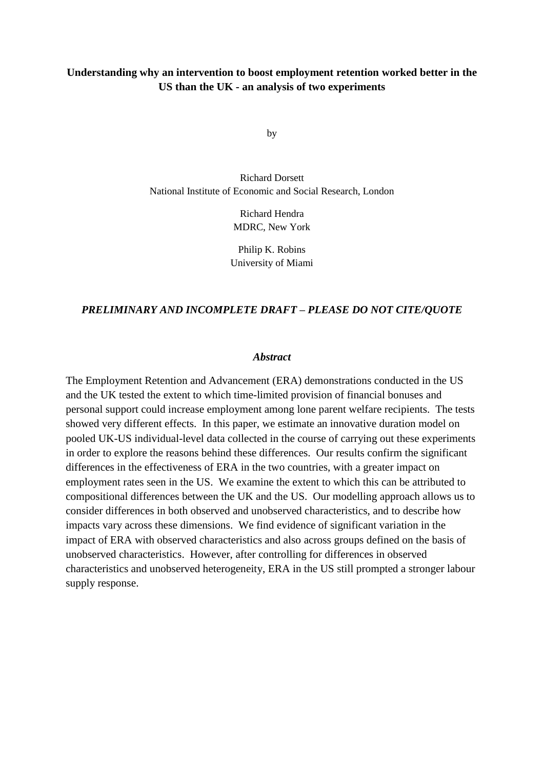## **Understanding why an intervention to boost employment retention worked better in the US than the UK - an analysis of two experiments**

by

Richard Dorsett National Institute of Economic and Social Research, London

> Richard Hendra MDRC, New York

Philip K. Robins University of Miami

#### *PRELIMINARY AND INCOMPLETE DRAFT – PLEASE DO NOT CITE/QUOTE*

#### *Abstract*

The Employment Retention and Advancement (ERA) demonstrations conducted in the US and the UK tested the extent to which time-limited provision of financial bonuses and personal support could increase employment among lone parent welfare recipients. The tests showed very different effects. In this paper, we estimate an innovative duration model on pooled UK-US individual-level data collected in the course of carrying out these experiments in order to explore the reasons behind these differences. Our results confirm the significant differences in the effectiveness of ERA in the two countries, with a greater impact on employment rates seen in the US. We examine the extent to which this can be attributed to compositional differences between the UK and the US. Our modelling approach allows us to consider differences in both observed and unobserved characteristics, and to describe how impacts vary across these dimensions. We find evidence of significant variation in the impact of ERA with observed characteristics and also across groups defined on the basis of unobserved characteristics. However, after controlling for differences in observed characteristics and unobserved heterogeneity, ERA in the US still prompted a stronger labour supply response.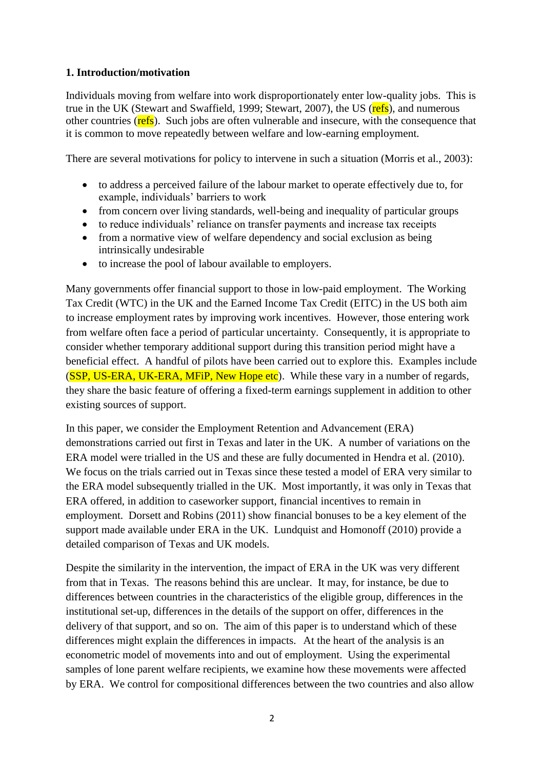## **1. Introduction/motivation**

Individuals moving from welfare into work disproportionately enter low-quality jobs. This is true in the UK (Stewart and Swaffield, 1999; Stewart, 2007), the US (refs), and numerous other countries (**refs**). Such jobs are often vulnerable and insecure, with the consequence that it is common to move repeatedly between welfare and low-earning employment.

There are several motivations for policy to intervene in such a situation (Morris et al., 2003):

- to address a perceived failure of the labour market to operate effectively due to, for example, individuals' barriers to work
- from concern over living standards, well-being and inequality of particular groups
- to reduce individuals' reliance on transfer payments and increase tax receipts
- from a normative view of welfare dependency and social exclusion as being intrinsically undesirable
- to increase the pool of labour available to employers.

Many governments offer financial support to those in low-paid employment. The Working Tax Credit (WTC) in the UK and the Earned Income Tax Credit (EITC) in the US both aim to increase employment rates by improving work incentives. However, those entering work from welfare often face a period of particular uncertainty. Consequently, it is appropriate to consider whether temporary additional support during this transition period might have a beneficial effect. A handful of pilots have been carried out to explore this. Examples include (SSP, US-ERA, UK-ERA, MFiP, New Hope etc). While these vary in a number of regards, they share the basic feature of offering a fixed-term earnings supplement in addition to other existing sources of support.

In this paper, we consider the Employment Retention and Advancement (ERA) demonstrations carried out first in Texas and later in the UK. A number of variations on the ERA model were trialled in the US and these are fully documented in Hendra et al. (2010). We focus on the trials carried out in Texas since these tested a model of ERA very similar to the ERA model subsequently trialled in the UK. Most importantly, it was only in Texas that ERA offered, in addition to caseworker support, financial incentives to remain in employment. Dorsett and Robins (2011) show financial bonuses to be a key element of the support made available under ERA in the UK. Lundquist and Homonoff (2010) provide a detailed comparison of Texas and UK models.

Despite the similarity in the intervention, the impact of ERA in the UK was very different from that in Texas. The reasons behind this are unclear. It may, for instance, be due to differences between countries in the characteristics of the eligible group, differences in the institutional set-up, differences in the details of the support on offer, differences in the delivery of that support, and so on. The aim of this paper is to understand which of these differences might explain the differences in impacts. At the heart of the analysis is an econometric model of movements into and out of employment. Using the experimental samples of lone parent welfare recipients, we examine how these movements were affected by ERA. We control for compositional differences between the two countries and also allow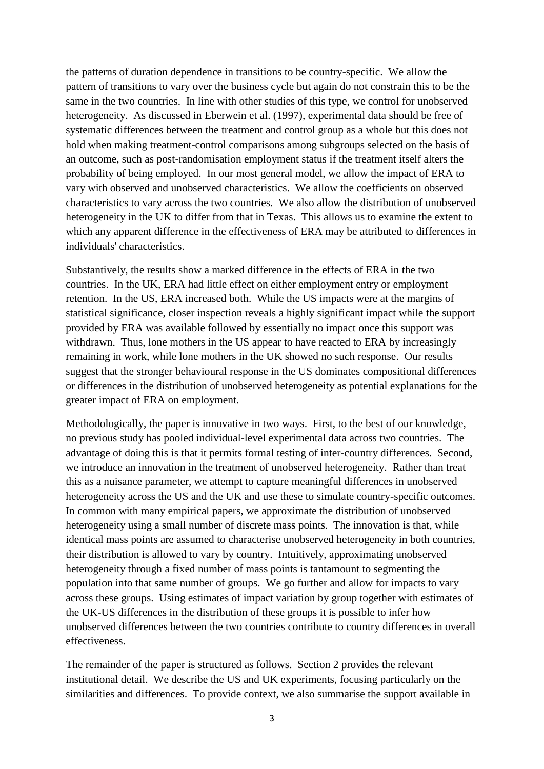the patterns of duration dependence in transitions to be country-specific. We allow the pattern of transitions to vary over the business cycle but again do not constrain this to be the same in the two countries. In line with other studies of this type, we control for unobserved heterogeneity. As discussed in Eberwein et al. (1997), experimental data should be free of systematic differences between the treatment and control group as a whole but this does not hold when making treatment-control comparisons among subgroups selected on the basis of an outcome, such as post-randomisation employment status if the treatment itself alters the probability of being employed. In our most general model, we allow the impact of ERA to vary with observed and unobserved characteristics. We allow the coefficients on observed characteristics to vary across the two countries. We also allow the distribution of unobserved heterogeneity in the UK to differ from that in Texas. This allows us to examine the extent to which any apparent difference in the effectiveness of ERA may be attributed to differences in individuals' characteristics.

Substantively, the results show a marked difference in the effects of ERA in the two countries. In the UK, ERA had little effect on either employment entry or employment retention. In the US, ERA increased both. While the US impacts were at the margins of statistical significance, closer inspection reveals a highly significant impact while the support provided by ERA was available followed by essentially no impact once this support was withdrawn. Thus, lone mothers in the US appear to have reacted to ERA by increasingly remaining in work, while lone mothers in the UK showed no such response. Our results suggest that the stronger behavioural response in the US dominates compositional differences or differences in the distribution of unobserved heterogeneity as potential explanations for the greater impact of ERA on employment.

Methodologically, the paper is innovative in two ways. First, to the best of our knowledge, no previous study has pooled individual-level experimental data across two countries. The advantage of doing this is that it permits formal testing of inter-country differences. Second, we introduce an innovation in the treatment of unobserved heterogeneity. Rather than treat this as a nuisance parameter, we attempt to capture meaningful differences in unobserved heterogeneity across the US and the UK and use these to simulate country-specific outcomes. In common with many empirical papers, we approximate the distribution of unobserved heterogeneity using a small number of discrete mass points. The innovation is that, while identical mass points are assumed to characterise unobserved heterogeneity in both countries, their distribution is allowed to vary by country. Intuitively, approximating unobserved heterogeneity through a fixed number of mass points is tantamount to segmenting the population into that same number of groups. We go further and allow for impacts to vary across these groups. Using estimates of impact variation by group together with estimates of the UK-US differences in the distribution of these groups it is possible to infer how unobserved differences between the two countries contribute to country differences in overall effectiveness.

The remainder of the paper is structured as follows. Section 2 provides the relevant institutional detail. We describe the US and UK experiments, focusing particularly on the similarities and differences. To provide context, we also summarise the support available in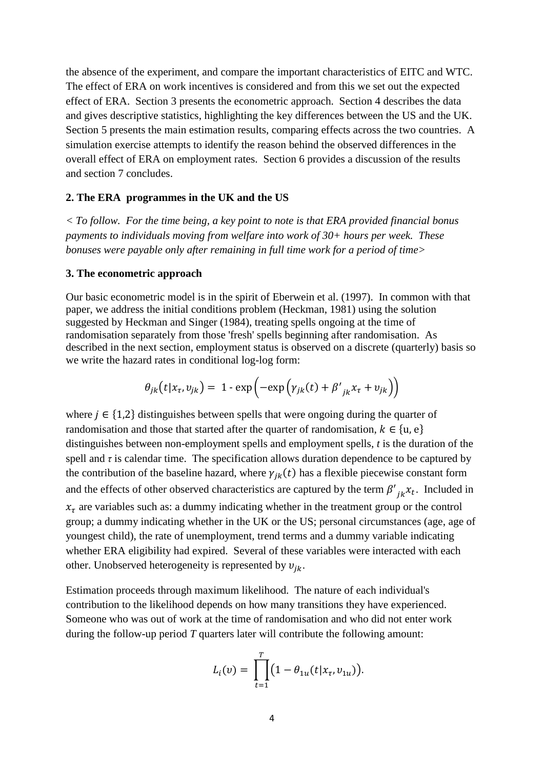the absence of the experiment, and compare the important characteristics of EITC and WTC. The effect of ERA on work incentives is considered and from this we set out the expected effect of ERA. Section 3 presents the econometric approach. Section 4 describes the data and gives descriptive statistics, highlighting the key differences between the US and the UK. Section 5 presents the main estimation results, comparing effects across the two countries. A simulation exercise attempts to identify the reason behind the observed differences in the overall effect of ERA on employment rates. Section 6 provides a discussion of the results and section 7 concludes.

#### **2. The ERA programmes in the UK and the US**

*< To follow. For the time being, a key point to note is that ERA provided financial bonus payments to individuals moving from welfare into work of 30+ hours per week. These bonuses were payable only after remaining in full time work for a period of time>*

#### **3. The econometric approach**

Our basic econometric model is in the spirit of Eberwein et al. (1997). In common with that paper, we address the initial conditions problem (Heckman, 1981) using the solution suggested by Heckman and Singer (1984), treating spells ongoing at the time of randomisation separately from those 'fresh' spells beginning after randomisation. As described in the next section, employment status is observed on a discrete (quarterly) basis so we write the hazard rates in conditional log-log form:

$$
\theta_{jk}(t|x_{\tau},v_{jk}) = 1 - \exp\left(-\exp\left(\gamma_{jk}(t) + \beta'_{jk}x_{\tau} + v_{jk}\right)\right)
$$

where  $j \in \{1,2\}$  distinguishes between spells that were ongoing during the quarter of randomisation and those that started after the quarter of randomisation,  $k \in \{u, e\}$ distinguishes between non-employment spells and employment spells, *t* is the duration of the spell and  $\tau$  is calendar time. The specification allows duration dependence to be captured by the contribution of the baseline hazard, where  $\gamma_{jk}(t)$  has a flexible piecewise constant form and the effects of other observed characteristics are captured by the term  $\beta'$  $_{jk}x_t$ . Included in  $x<sub>\tau</sub>$  are variables such as: a dummy indicating whether in the treatment group or the control group; a dummy indicating whether in the UK or the US; personal circumstances (age, age of youngest child), the rate of unemployment, trend terms and a dummy variable indicating whether ERA eligibility had expired. Several of these variables were interacted with each other. Unobserved heterogeneity is represented by  $v_{ik}$ .

Estimation proceeds through maximum likelihood. The nature of each individual's contribution to the likelihood depends on how many transitions they have experienced. Someone who was out of work at the time of randomisation and who did not enter work during the follow-up period *T* quarters later will contribute the following amount:

$$
L_i(v) = \prod_{t=1}^T (1 - \theta_{1u}(t|x_t, v_{1u})).
$$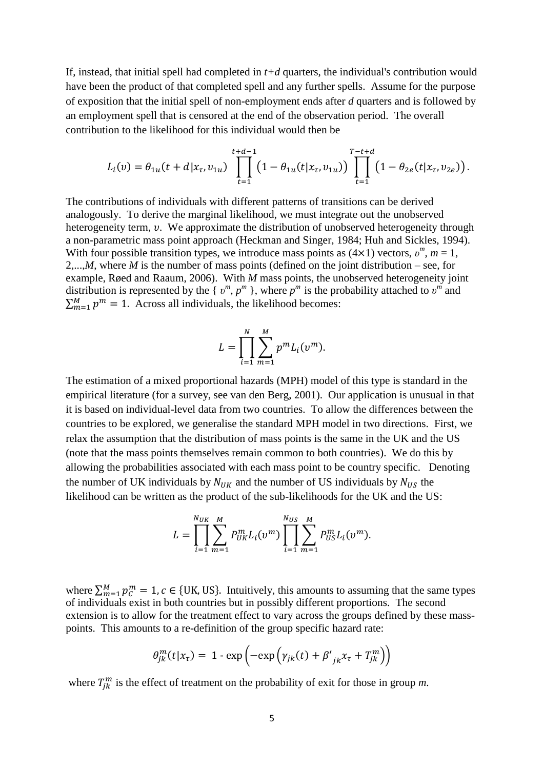If, instead, that initial spell had completed in *t+d* quarters, the individual's contribution would have been the product of that completed spell and any further spells. Assume for the purpose of exposition that the initial spell of non-employment ends after *d* quarters and is followed by an employment spell that is censored at the end of the observation period. The overall contribution to the likelihood for this individual would then be

$$
L_i(v) = \theta_{1u}(t + d | x_{\tau}, v_{1u}) \prod_{t=1}^{t+d-1} \left(1 - \theta_{1u}(t | x_{\tau}, v_{1u})\right) \prod_{t=1}^{T-t+d} \left(1 - \theta_{2e}(t | x_{\tau}, v_{2e})\right).
$$

The contributions of individuals with different patterns of transitions can be derived analogously. To derive the marginal likelihood, we must integrate out the unobserved heterogeneity term,  $v$ . We approximate the distribution of unobserved heterogeneity through a non-parametric mass point approach (Heckman and Singer, 1984; Huh and Sickles, 1994). With four possible transition types, we introduce mass points as  $(4 \times 1)$  vectors,  $v^m$ ,  $m = 1$ , 2,...,*M*, where *M* is the number of mass points (defined on the joint distribution – see, for example, Røed and Raaum, 2006). With *M* mass points, the unobserved heterogeneity joint distribution is represented by the {  $v^m$ ,  $p^m$  }, where  $p^m$  is the probability attached to  $v^m$  and  $\sum_{m=1}^{M} p^m = 1$ . Across all individuals, the likelihood becomes:

$$
L = \prod_{i=1}^{N} \sum_{m=1}^{M} p^{m} L_{i}(v^{m}).
$$

The estimation of a mixed proportional hazards (MPH) model of this type is standard in the empirical literature (for a survey, see van den Berg, 2001). Our application is unusual in that it is based on individual-level data from two countries. To allow the differences between the countries to be explored, we generalise the standard MPH model in two directions. First, we relax the assumption that the distribution of mass points is the same in the UK and the US (note that the mass points themselves remain common to both countries). We do this by allowing the probabilities associated with each mass point to be country specific. Denoting the number of UK individuals by  $N_{IJK}$  and the number of US individuals by  $N_{IJS}$  the likelihood can be written as the product of the sub-likelihoods for the UK and the US:

$$
L = \prod_{i=1}^{N_{UK}} \sum_{m=1}^{M} P_{UK}^{m} L_i(v^m) \prod_{i=1}^{N_{US}} \sum_{m=1}^{M} P_{US}^{m} L_i(v^m).
$$

where  $\sum_{m=1}^{M} p_C^m = 1$ ,  $c \in \{UK, US\}$ . Intuitively, this amounts to assuming that the same types of individuals exist in both countries but in possibly different proportions. The second extension is to allow for the treatment effect to vary across the groups defined by these masspoints. This amounts to a re-definition of the group specific hazard rate:

$$
\theta_{jk}^{m}(t|x_{\tau}) = 1 - \exp\left(-\exp\left(\gamma_{jk}(t) + \beta'_{jk}x_{\tau} + T_{jk}^{m}\right)\right)
$$

where  $T_{ik}^{m}$  is the effect of treatment on the probability of exit for those in group *m*.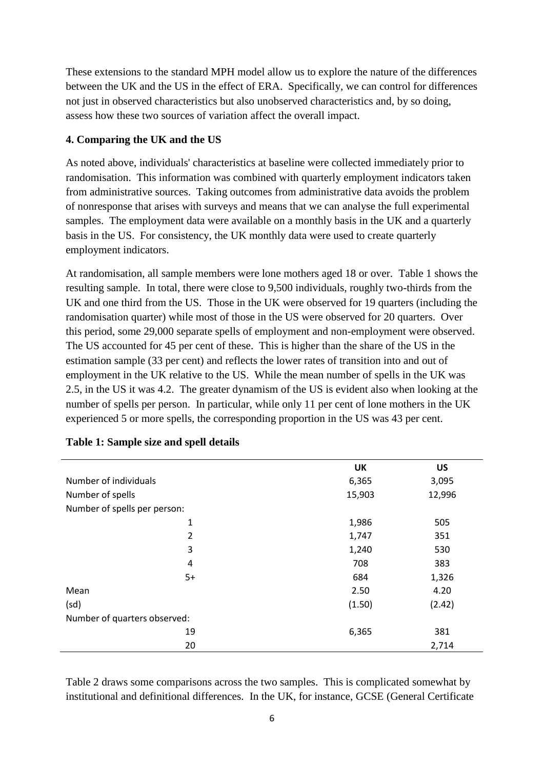These extensions to the standard MPH model allow us to explore the nature of the differences between the UK and the US in the effect of ERA. Specifically, we can control for differences not just in observed characteristics but also unobserved characteristics and, by so doing, assess how these two sources of variation affect the overall impact.

# **4. Comparing the UK and the US**

As noted above, individuals' characteristics at baseline were collected immediately prior to randomisation. This information was combined with quarterly employment indicators taken from administrative sources. Taking outcomes from administrative data avoids the problem of nonresponse that arises with surveys and means that we can analyse the full experimental samples. The employment data were available on a monthly basis in the UK and a quarterly basis in the US. For consistency, the UK monthly data were used to create quarterly employment indicators.

At randomisation, all sample members were lone mothers aged 18 or over. Table 1 shows the resulting sample. In total, there were close to 9,500 individuals, roughly two-thirds from the UK and one third from the US. Those in the UK were observed for 19 quarters (including the randomisation quarter) while most of those in the US were observed for 20 quarters. Over this period, some 29,000 separate spells of employment and non-employment were observed. The US accounted for 45 per cent of these. This is higher than the share of the US in the estimation sample (33 per cent) and reflects the lower rates of transition into and out of employment in the UK relative to the US. While the mean number of spells in the UK was 2.5, in the US it was 4.2. The greater dynamism of the US is evident also when looking at the number of spells per person. In particular, while only 11 per cent of lone mothers in the UK experienced 5 or more spells, the corresponding proportion in the US was 43 per cent.

|                              | <b>UK</b> | <b>US</b> |
|------------------------------|-----------|-----------|
| Number of individuals        | 6,365     | 3,095     |
| Number of spells             | 15,903    | 12,996    |
| Number of spells per person: |           |           |
| 1                            | 1,986     | 505       |
| $\overline{2}$               | 1,747     | 351       |
| 3                            | 1,240     | 530       |
| $\overline{4}$               | 708       | 383       |
| $5+$                         | 684       | 1,326     |
| Mean                         | 2.50      | 4.20      |
| (sd)                         | (1.50)    | (2.42)    |
| Number of quarters observed: |           |           |
| 19                           | 6,365     | 381       |
| 20                           |           | 2,714     |

#### **Table 1: Sample size and spell details**

Table 2 draws some comparisons across the two samples. This is complicated somewhat by institutional and definitional differences. In the UK, for instance, GCSE (General Certificate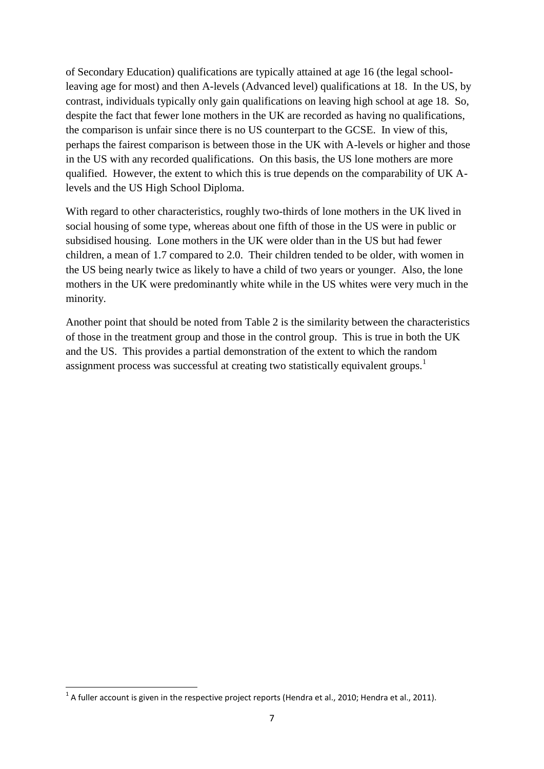of Secondary Education) qualifications are typically attained at age 16 (the legal schoolleaving age for most) and then A-levels (Advanced level) qualifications at 18. In the US, by contrast, individuals typically only gain qualifications on leaving high school at age 18. So, despite the fact that fewer lone mothers in the UK are recorded as having no qualifications, the comparison is unfair since there is no US counterpart to the GCSE. In view of this, perhaps the fairest comparison is between those in the UK with A-levels or higher and those in the US with any recorded qualifications. On this basis, the US lone mothers are more qualified. However, the extent to which this is true depends on the comparability of UK Alevels and the US High School Diploma.

With regard to other characteristics, roughly two-thirds of lone mothers in the UK lived in social housing of some type, whereas about one fifth of those in the US were in public or subsidised housing. Lone mothers in the UK were older than in the US but had fewer children, a mean of 1.7 compared to 2.0. Their children tended to be older, with women in the US being nearly twice as likely to have a child of two years or younger. Also, the lone mothers in the UK were predominantly white while in the US whites were very much in the minority.

Another point that should be noted from Table 2 is the similarity between the characteristics of those in the treatment group and those in the control group. This is true in both the UK and the US. This provides a partial demonstration of the extent to which the random assignment process was successful at creating two statistically equivalent groups.<sup>1</sup>

**.** 

 $^1$  A fuller account is given in the respective project reports (Hendra et al., 2010; Hendra et al., 2011).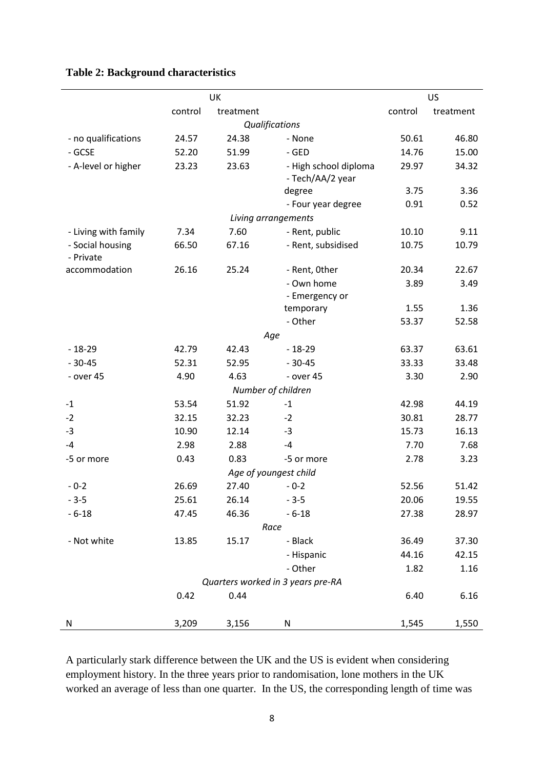|                               |         | UK        |                                           |         | US        |
|-------------------------------|---------|-----------|-------------------------------------------|---------|-----------|
|                               | control | treatment |                                           | control | treatment |
|                               |         |           | Qualifications                            |         |           |
| - no qualifications           | 24.57   | 24.38     | - None                                    | 50.61   | 46.80     |
| - GCSE                        | 52.20   | 51.99     | - GED                                     | 14.76   | 15.00     |
| - A-level or higher           | 23.23   | 23.63     | - High school diploma<br>- Tech/AA/2 year | 29.97   | 34.32     |
|                               |         |           | degree                                    | 3.75    | 3.36      |
|                               |         |           | - Four year degree                        | 0.91    | 0.52      |
|                               |         |           | Living arrangements                       |         |           |
| - Living with family          | 7.34    | 7.60      | - Rent, public                            | 10.10   | 9.11      |
| - Social housing<br>- Private | 66.50   | 67.16     | - Rent, subsidised                        | 10.75   | 10.79     |
| accommodation                 | 26.16   | 25.24     | - Rent, Other                             | 20.34   | 22.67     |
|                               |         |           | - Own home                                | 3.89    | 3.49      |
|                               |         |           | - Emergency or                            |         |           |
|                               |         |           | temporary                                 | 1.55    | 1.36      |
|                               |         |           | - Other                                   | 53.37   | 52.58     |
|                               |         |           | Age                                       |         |           |
| $-18-29$                      | 42.79   | 42.43     | $-18-29$                                  | 63.37   | 63.61     |
| $-30-45$                      | 52.31   | 52.95     | $-30-45$                                  | 33.33   | 33.48     |
| - over 45                     | 4.90    | 4.63      | - over 45                                 | 3.30    | 2.90      |
|                               |         |           | Number of children                        |         |           |
| $-1$                          | 53.54   | 51.92     | $-1$                                      | 42.98   | 44.19     |
| $-2$                          | 32.15   | 32.23     | $-2$                                      | 30.81   | 28.77     |
| $-3$                          | 10.90   | 12.14     | $-3$                                      | 15.73   | 16.13     |
| $-4$                          | 2.98    | 2.88      | $-4$                                      | 7.70    | 7.68      |
| -5 or more                    | 0.43    | 0.83      | -5 or more                                | 2.78    | 3.23      |
|                               |         |           | Age of youngest child                     |         |           |
| $-0-2$                        | 26.69   | 27.40     | $-0-2$                                    | 52.56   | 51.42     |
| $-3-5$                        | 25.61   | 26.14     | $-3-5$                                    | 20.06   | 19.55     |
| $-6 - 18$                     | 47.45   | 46.36     | $-6 - 18$                                 | 27.38   | 28.97     |
|                               |         |           | Race                                      |         |           |
| - Not white                   | 13.85   | 15.17     | - Black                                   | 36.49   | 37.30     |
|                               |         |           | - Hispanic                                | 44.16   | 42.15     |
|                               |         |           | - Other                                   | 1.82    | 1.16      |
|                               |         |           | Quarters worked in 3 years pre-RA         |         |           |
|                               | 0.42    | 0.44      |                                           | 6.40    | 6.16      |
| N                             | 3,209   | 3,156     | N                                         | 1,545   | 1,550     |

# **Table 2: Background characteristics**

A particularly stark difference between the UK and the US is evident when considering employment history. In the three years prior to randomisation, lone mothers in the UK worked an average of less than one quarter. In the US, the corresponding length of time was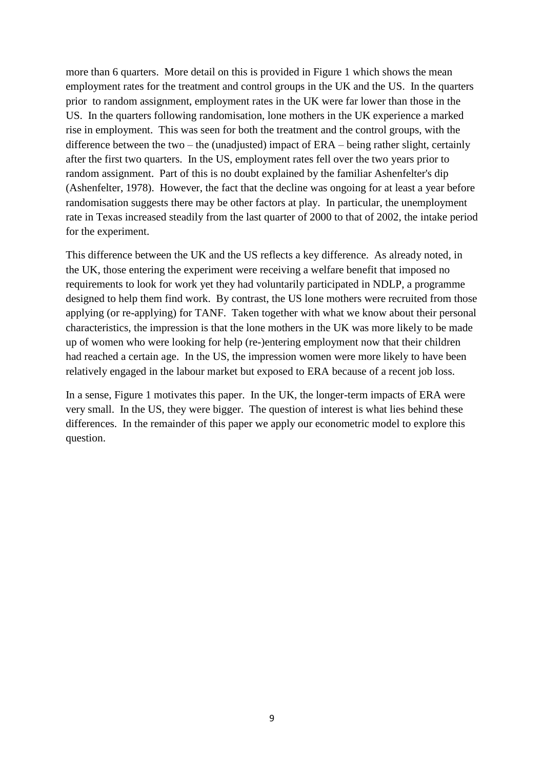more than 6 quarters. More detail on this is provided in Figure 1 which shows the mean employment rates for the treatment and control groups in the UK and the US. In the quarters prior to random assignment, employment rates in the UK were far lower than those in the US. In the quarters following randomisation, lone mothers in the UK experience a marked rise in employment. This was seen for both the treatment and the control groups, with the difference between the two – the (unadjusted) impact of ERA – being rather slight, certainly after the first two quarters. In the US, employment rates fell over the two years prior to random assignment. Part of this is no doubt explained by the familiar Ashenfelter's dip (Ashenfelter, 1978). However, the fact that the decline was ongoing for at least a year before randomisation suggests there may be other factors at play. In particular, the unemployment rate in Texas increased steadily from the last quarter of 2000 to that of 2002, the intake period for the experiment.

This difference between the UK and the US reflects a key difference. As already noted, in the UK, those entering the experiment were receiving a welfare benefit that imposed no requirements to look for work yet they had voluntarily participated in NDLP, a programme designed to help them find work. By contrast, the US lone mothers were recruited from those applying (or re-applying) for TANF. Taken together with what we know about their personal characteristics, the impression is that the lone mothers in the UK was more likely to be made up of women who were looking for help (re-)entering employment now that their children had reached a certain age. In the US, the impression women were more likely to have been relatively engaged in the labour market but exposed to ERA because of a recent job loss.

In a sense, Figure 1 motivates this paper. In the UK, the longer-term impacts of ERA were very small. In the US, they were bigger. The question of interest is what lies behind these differences. In the remainder of this paper we apply our econometric model to explore this question.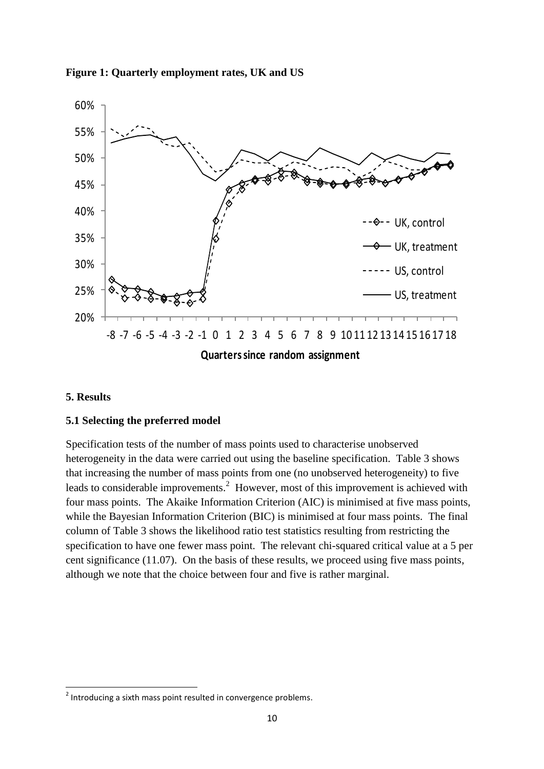

#### **Figure 1: Quarterly employment rates, UK and US**

#### **5. Results**

**.** 

#### **5.1 Selecting the preferred model**

Specification tests of the number of mass points used to characterise unobserved heterogeneity in the data were carried out using the baseline specification. Table 3 shows that increasing the number of mass points from one (no unobserved heterogeneity) to five leads to considerable improvements.<sup>2</sup> However, most of this improvement is achieved with four mass points. The Akaike Information Criterion (AIC) is minimised at five mass points, while the Bayesian Information Criterion (BIC) is minimised at four mass points. The final column of Table 3 shows the likelihood ratio test statistics resulting from restricting the specification to have one fewer mass point. The relevant chi-squared critical value at a 5 per cent significance (11.07). On the basis of these results, we proceed using five mass points, although we note that the choice between four and five is rather marginal.

<sup>&</sup>lt;sup>2</sup> Introducing a sixth mass point resulted in convergence problems.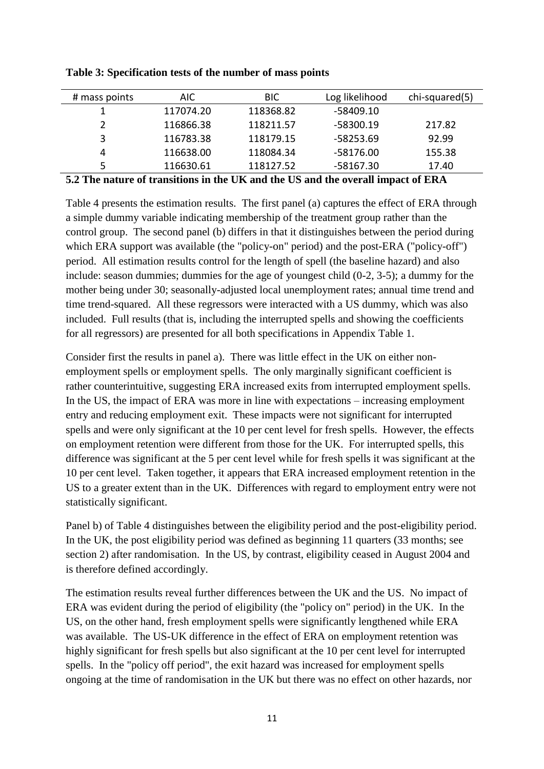| # mass points                     | AIC                                                  | <b>BIC</b>                                     | Log likelihood | chi-squared(5)          |
|-----------------------------------|------------------------------------------------------|------------------------------------------------|----------------|-------------------------|
|                                   | 117074.20                                            | 118368.82                                      | $-58409.10$    |                         |
|                                   | 116866.38                                            | 118211.57                                      | $-58300.19$    | 217.82                  |
| 3                                 | 116783.38                                            | 118179.15                                      | -58253.69      | 92.99                   |
|                                   | 116638.00                                            | 118084.34                                      | -58176.00      | 155.38                  |
|                                   | 116630.61                                            | 118127.52                                      | $-58167.30$    | 17.40                   |
| - - -<br>$\overline{\phantom{a}}$ | $\bullet\ ^{1}\bullet\ ^{1}$<br>. .<br>$\sim$ $\sim$ | $-1$<br>$\mathbf{r}$ $\mathbf{r}$ $\mathbf{r}$ | . .<br>. .     | 27.77<br>$\overline{a}$ |

**Table 3: Specification tests of the number of mass points**

#### **5.2 The nature of transitions in the UK and the US and the overall impact of ERA**

Table 4 presents the estimation results. The first panel (a) captures the effect of ERA through a simple dummy variable indicating membership of the treatment group rather than the control group. The second panel (b) differs in that it distinguishes between the period during which ERA support was available (the "policy-on" period) and the post-ERA ("policy-off") period. All estimation results control for the length of spell (the baseline hazard) and also include: season dummies; dummies for the age of youngest child (0-2, 3-5); a dummy for the mother being under 30; seasonally-adjusted local unemployment rates; annual time trend and time trend-squared. All these regressors were interacted with a US dummy, which was also included. Full results (that is, including the interrupted spells and showing the coefficients for all regressors) are presented for all both specifications in Appendix Table 1.

Consider first the results in panel a). There was little effect in the UK on either nonemployment spells or employment spells. The only marginally significant coefficient is rather counterintuitive, suggesting ERA increased exits from interrupted employment spells. In the US, the impact of ERA was more in line with expectations – increasing employment entry and reducing employment exit. These impacts were not significant for interrupted spells and were only significant at the 10 per cent level for fresh spells. However, the effects on employment retention were different from those for the UK. For interrupted spells, this difference was significant at the 5 per cent level while for fresh spells it was significant at the 10 per cent level. Taken together, it appears that ERA increased employment retention in the US to a greater extent than in the UK. Differences with regard to employment entry were not statistically significant.

Panel b) of Table 4 distinguishes between the eligibility period and the post-eligibility period. In the UK, the post eligibility period was defined as beginning 11 quarters (33 months; see section 2) after randomisation. In the US, by contrast, eligibility ceased in August 2004 and is therefore defined accordingly.

The estimation results reveal further differences between the UK and the US. No impact of ERA was evident during the period of eligibility (the "policy on" period) in the UK. In the US, on the other hand, fresh employment spells were significantly lengthened while ERA was available. The US-UK difference in the effect of ERA on employment retention was highly significant for fresh spells but also significant at the 10 per cent level for interrupted spells. In the "policy off period", the exit hazard was increased for employment spells ongoing at the time of randomisation in the UK but there was no effect on other hazards, nor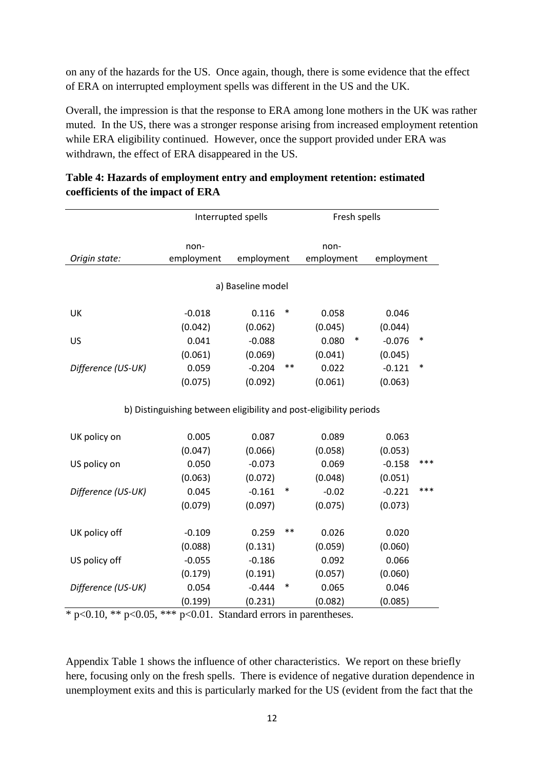on any of the hazards for the US. Once again, though, there is some evidence that the effect of ERA on interrupted employment spells was different in the US and the UK.

Overall, the impression is that the response to ERA among lone mothers in the UK was rather muted. In the US, there was a stronger response arising from increased employment retention while ERA eligibility continued. However, once the support provided under ERA was withdrawn, the effect of ERA disappeared in the US.

|                    |                                                                    | Interrupted spells | Fresh spells |            |        |            |        |  |  |  |  |  |
|--------------------|--------------------------------------------------------------------|--------------------|--------------|------------|--------|------------|--------|--|--|--|--|--|
|                    |                                                                    |                    |              |            |        |            |        |  |  |  |  |  |
|                    | non-                                                               |                    |              | non-       |        |            |        |  |  |  |  |  |
| Origin state:      | employment                                                         | employment         |              | employment |        | employment |        |  |  |  |  |  |
|                    |                                                                    |                    |              |            |        |            |        |  |  |  |  |  |
|                    |                                                                    | a) Baseline model  |              |            |        |            |        |  |  |  |  |  |
| UK                 | $-0.018$                                                           | 0.116              | ∗            | 0.058      |        | 0.046      |        |  |  |  |  |  |
|                    | (0.042)                                                            | (0.062)            |              | (0.045)    |        | (0.044)    |        |  |  |  |  |  |
| US                 | 0.041                                                              | $-0.088$           |              | 0.080      | $\ast$ | $-0.076$   | $\ast$ |  |  |  |  |  |
|                    | (0.061)                                                            | (0.069)            |              | (0.041)    |        | (0.045)    |        |  |  |  |  |  |
| Difference (US-UK) | 0.059                                                              | $-0.204$           | $***$        | 0.022      |        | $-0.121$   | $\ast$ |  |  |  |  |  |
|                    | (0.075)                                                            | (0.092)            |              | (0.061)    |        | (0.063)    |        |  |  |  |  |  |
|                    |                                                                    |                    |              |            |        |            |        |  |  |  |  |  |
|                    | b) Distinguishing between eligibility and post-eligibility periods |                    |              |            |        |            |        |  |  |  |  |  |
| UK policy on       | 0.005                                                              | 0.087              |              | 0.089      |        | 0.063      |        |  |  |  |  |  |
|                    | (0.047)                                                            | (0.066)            |              | (0.058)    |        | (0.053)    |        |  |  |  |  |  |
| US policy on       | 0.050                                                              | $-0.073$           |              | 0.069      |        | $-0.158$   | ***    |  |  |  |  |  |
|                    | (0.063)                                                            | (0.072)            |              | (0.048)    |        | (0.051)    |        |  |  |  |  |  |
| Difference (US-UK) | 0.045                                                              | $-0.161$           | $\ast$       | $-0.02$    |        | $-0.221$   | ***    |  |  |  |  |  |
|                    | (0.079)                                                            | (0.097)            |              | (0.075)    |        | (0.073)    |        |  |  |  |  |  |
|                    |                                                                    |                    |              |            |        |            |        |  |  |  |  |  |
| UK policy off      | $-0.109$                                                           | 0.259              | $***$        | 0.026      |        | 0.020      |        |  |  |  |  |  |
|                    | (0.088)                                                            | (0.131)            |              | (0.059)    |        | (0.060)    |        |  |  |  |  |  |
| US policy off      | $-0.055$                                                           | $-0.186$           |              | 0.092      |        | 0.066      |        |  |  |  |  |  |
|                    | (0.179)                                                            | (0.191)            |              | (0.057)    |        | (0.060)    |        |  |  |  |  |  |
| Difference (US-UK) | 0.054                                                              | $-0.444$           | $\ast$       | 0.065      |        | 0.046      |        |  |  |  |  |  |
|                    | (0.199)                                                            | (0.231)            |              | (0.082)    |        | (0.085)    |        |  |  |  |  |  |

|                                   | Table 4: Hazards of employment entry and employment retention: estimated |  |
|-----------------------------------|--------------------------------------------------------------------------|--|
| coefficients of the impact of ERA |                                                                          |  |

 $*$  p<0.10, \*\* p<0.05, \*\*\* p<0.01. Standard errors in parentheses.

Appendix Table 1 shows the influence of other characteristics. We report on these briefly here, focusing only on the fresh spells. There is evidence of negative duration dependence in unemployment exits and this is particularly marked for the US (evident from the fact that the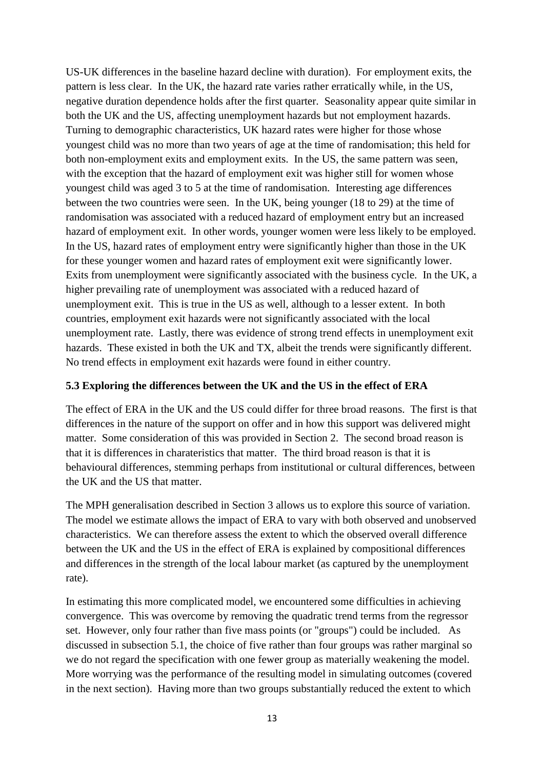US-UK differences in the baseline hazard decline with duration). For employment exits, the pattern is less clear. In the UK, the hazard rate varies rather erratically while, in the US, negative duration dependence holds after the first quarter. Seasonality appear quite similar in both the UK and the US, affecting unemployment hazards but not employment hazards. Turning to demographic characteristics, UK hazard rates were higher for those whose youngest child was no more than two years of age at the time of randomisation; this held for both non-employment exits and employment exits. In the US, the same pattern was seen, with the exception that the hazard of employment exit was higher still for women whose youngest child was aged 3 to 5 at the time of randomisation. Interesting age differences between the two countries were seen. In the UK, being younger (18 to 29) at the time of randomisation was associated with a reduced hazard of employment entry but an increased hazard of employment exit. In other words, younger women were less likely to be employed. In the US, hazard rates of employment entry were significantly higher than those in the UK for these younger women and hazard rates of employment exit were significantly lower. Exits from unemployment were significantly associated with the business cycle. In the UK, a higher prevailing rate of unemployment was associated with a reduced hazard of unemployment exit. This is true in the US as well, although to a lesser extent. In both countries, employment exit hazards were not significantly associated with the local unemployment rate. Lastly, there was evidence of strong trend effects in unemployment exit hazards. These existed in both the UK and TX, albeit the trends were significantly different. No trend effects in employment exit hazards were found in either country.

### **5.3 Exploring the differences between the UK and the US in the effect of ERA**

The effect of ERA in the UK and the US could differ for three broad reasons. The first is that differences in the nature of the support on offer and in how this support was delivered might matter. Some consideration of this was provided in Section 2. The second broad reason is that it is differences in charateristics that matter. The third broad reason is that it is behavioural differences, stemming perhaps from institutional or cultural differences, between the UK and the US that matter.

The MPH generalisation described in Section 3 allows us to explore this source of variation. The model we estimate allows the impact of ERA to vary with both observed and unobserved characteristics. We can therefore assess the extent to which the observed overall difference between the UK and the US in the effect of ERA is explained by compositional differences and differences in the strength of the local labour market (as captured by the unemployment rate).

In estimating this more complicated model, we encountered some difficulties in achieving convergence. This was overcome by removing the quadratic trend terms from the regressor set. However, only four rather than five mass points (or "groups") could be included. As discussed in subsection 5.1, the choice of five rather than four groups was rather marginal so we do not regard the specification with one fewer group as materially weakening the model. More worrying was the performance of the resulting model in simulating outcomes (covered in the next section). Having more than two groups substantially reduced the extent to which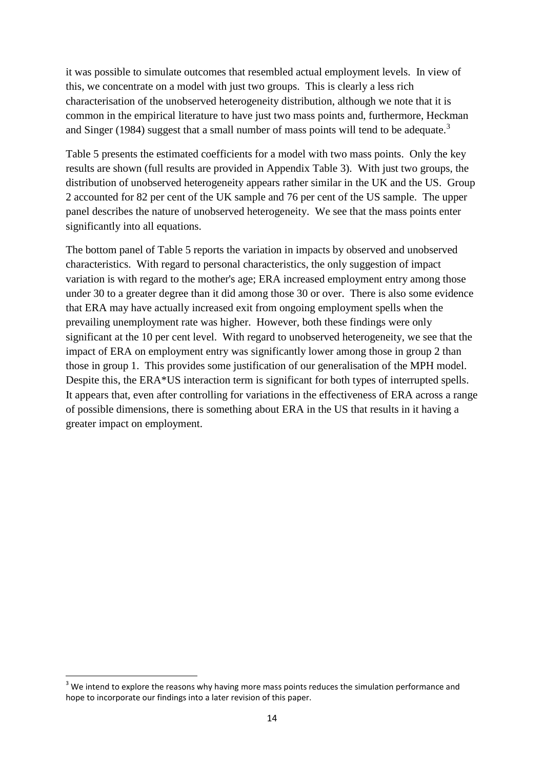it was possible to simulate outcomes that resembled actual employment levels. In view of this, we concentrate on a model with just two groups. This is clearly a less rich characterisation of the unobserved heterogeneity distribution, although we note that it is common in the empirical literature to have just two mass points and, furthermore, Heckman and Singer (1984) suggest that a small number of mass points will tend to be adequate.<sup>3</sup>

Table 5 presents the estimated coefficients for a model with two mass points. Only the key results are shown (full results are provided in Appendix Table 3). With just two groups, the distribution of unobserved heterogeneity appears rather similar in the UK and the US. Group 2 accounted for 82 per cent of the UK sample and 76 per cent of the US sample. The upper panel describes the nature of unobserved heterogeneity. We see that the mass points enter significantly into all equations.

The bottom panel of Table 5 reports the variation in impacts by observed and unobserved characteristics. With regard to personal characteristics, the only suggestion of impact variation is with regard to the mother's age; ERA increased employment entry among those under 30 to a greater degree than it did among those 30 or over. There is also some evidence that ERA may have actually increased exit from ongoing employment spells when the prevailing unemployment rate was higher. However, both these findings were only significant at the 10 per cent level. With regard to unobserved heterogeneity, we see that the impact of ERA on employment entry was significantly lower among those in group 2 than those in group 1. This provides some justification of our generalisation of the MPH model. Despite this, the ERA\*US interaction term is significant for both types of interrupted spells. It appears that, even after controlling for variations in the effectiveness of ERA across a range of possible dimensions, there is something about ERA in the US that results in it having a greater impact on employment.

**.** 

 $3$  We intend to explore the reasons why having more mass points reduces the simulation performance and hope to incorporate our findings into a later revision of this paper.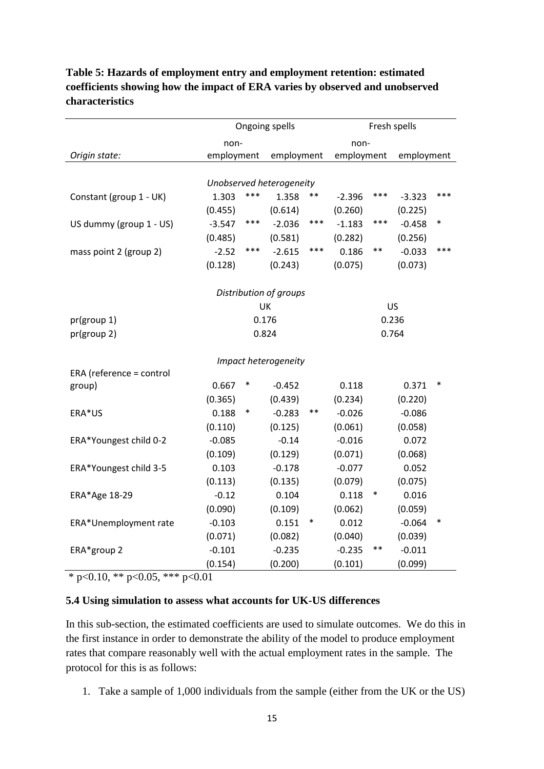|                          |            |        | Ongoing spells           | Fresh spells |                     |        |                     |        |  |  |  |
|--------------------------|------------|--------|--------------------------|--------------|---------------------|--------|---------------------|--------|--|--|--|
|                          | non-       |        |                          | non-         |                     |        |                     |        |  |  |  |
| Origin state:            | employment |        | employment               |              | employment          |        | employment          |        |  |  |  |
|                          |            |        |                          |              |                     |        |                     |        |  |  |  |
|                          |            |        | Unobserved heterogeneity |              |                     |        |                     |        |  |  |  |
| Constant (group 1 - UK)  | 1.303      | ***    | 1.358                    | $***$        | $-2.396$            | ***    | $-3.323$            | ***    |  |  |  |
|                          | (0.455)    |        | (0.614)                  |              | (0.260)             |        | (0.225)             |        |  |  |  |
| US dummy (group 1 - US)  | $-3.547$   | ***    | $-2.036$                 | ***          | $-1.183$            | ***    | $-0.458$            | $\ast$ |  |  |  |
|                          | (0.485)    |        | (0.581)                  |              | (0.282)             |        | (0.256)             |        |  |  |  |
| mass point 2 (group 2)   | $-2.52$    | ***    | $-2.615$                 | ***          | 0.186               | $***$  | $-0.033$            | ***    |  |  |  |
|                          | (0.128)    |        | (0.243)                  |              | (0.075)             |        | (0.073)             |        |  |  |  |
|                          |            |        |                          |              |                     |        |                     |        |  |  |  |
|                          |            |        | Distribution of groups   |              |                     |        |                     |        |  |  |  |
|                          |            | UK     |                          |              |                     | US     |                     |        |  |  |  |
| pr(group 1)              |            | 0.176  |                          |              |                     | 0.236  |                     |        |  |  |  |
| pr(group 2)              |            | 0.824  |                          |              |                     | 0.764  |                     |        |  |  |  |
|                          |            |        |                          |              |                     |        |                     |        |  |  |  |
|                          |            |        | Impact heterogeneity     |              |                     |        |                     |        |  |  |  |
| ERA (reference = control | 0.667      | $\ast$ | $-0.452$                 |              | 0.118               |        | 0.371               | $\ast$ |  |  |  |
| group)                   | (0.365)    |        | (0.439)                  |              | (0.234)             |        | (0.220)             |        |  |  |  |
| ERA*US                   | 0.188      | $\ast$ | $-0.283$                 | $***$        | $-0.026$            |        | $-0.086$            |        |  |  |  |
|                          | (0.110)    |        | (0.125)                  |              | (0.061)             |        | (0.058)             |        |  |  |  |
| ERA*Youngest child 0-2   | $-0.085$   |        | $-0.14$                  |              | $-0.016$            |        | 0.072               |        |  |  |  |
|                          | (0.109)    |        | (0.129)                  |              | (0.071)             |        | (0.068)             |        |  |  |  |
| ERA*Youngest child 3-5   | 0.103      |        | $-0.178$                 |              |                     |        | 0.052               |        |  |  |  |
|                          | (0.113)    |        | (0.135)                  |              | $-0.077$<br>(0.079) |        | (0.075)             |        |  |  |  |
| ERA*Age 18-29            | $-0.12$    |        | 0.104                    |              | 0.118               | $\ast$ | 0.016               |        |  |  |  |
|                          | (0.090)    |        | (0.109)                  |              | (0.062)             |        | (0.059)             |        |  |  |  |
| ERA*Unemployment rate    | $-0.103$   |        | 0.151                    | $\ast$       | 0.012               |        | $-0.064$            | $\ast$ |  |  |  |
|                          | (0.071)    |        | (0.082)                  |              | (0.040)             |        |                     |        |  |  |  |
| ERA*group 2              | $-0.101$   |        | $-0.235$                 |              | $-0.235$            | **     | (0.039)<br>$-0.011$ |        |  |  |  |
|                          |            |        |                          |              |                     |        |                     |        |  |  |  |
|                          | (0.154)    |        | (0.200)                  |              | (0.101)             |        | (0.099)             |        |  |  |  |

**Table 5: Hazards of employment entry and employment retention: estimated coefficients showing how the impact of ERA varies by observed and unobserved characteristics**

 $\overline{\ast p}$  p<0.10,  $\overline{\ast p}$  p<0.05,  $\overline{\ast p}$  p<0.01

#### **5.4 Using simulation to assess what accounts for UK-US differences**

In this sub-section, the estimated coefficients are used to simulate outcomes. We do this in the first instance in order to demonstrate the ability of the model to produce employment rates that compare reasonably well with the actual employment rates in the sample. The protocol for this is as follows:

1. Take a sample of 1,000 individuals from the sample (either from the UK or the US)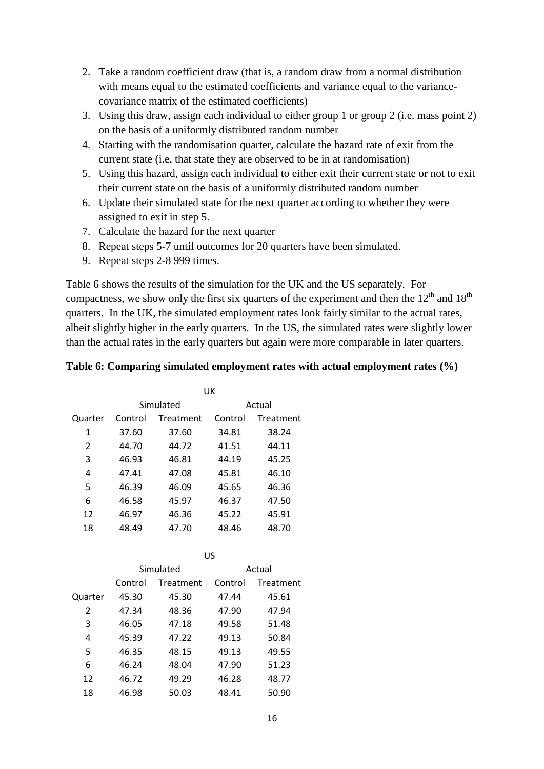- 2. Take a random coefficient draw (that is, a random draw from a normal distribution with means equal to the estimated coefficients and variance equal to the variancecovariance matrix of the estimated coefficients)
- 3. Using this draw, assign each individual to either group 1 or group 2 (i.e. mass point 2) on the basis of a uniformly distributed random number
- 4. Starting with the randomisation quarter, calculate the hazard rate of exit from the current state (i.e. that state they are observed to be in at randomisation)
- 5. Using this hazard, assign each individual to either exit their current state or not to exit their current state on the basis of a uniformly distributed random number
- 6. Update their simulated state for the next quarter according to whether they were assigned to exit in step 5.
- 7. Calculate the hazard for the next quarter
- 8. Repeat steps 5-7 until outcomes for 20 quarters have been simulated.
- 9. Repeat steps 2-8 999 times.

Table 6 shows the results of the simulation for the UK and the US separately. For compactness, we show only the first six quarters of the experiment and then the  $12<sup>th</sup>$  and  $18<sup>th</sup>$ quarters. In the UK, the simulated employment rates look fairly similar to the actual rates, albeit slightly higher in the early quarters. In the US, the simulated rates were slightly lower than the actual rates in the early quarters but again were more comparable in later quarters.

### **Table 6: Comparing simulated employment rates with actual employment rates (%)**

|         |         |           | UK      |           |
|---------|---------|-----------|---------|-----------|
|         |         | Simulated |         | Actual    |
| Quarter | Control | Treatment | Control | Treatment |
| 1       | 37.60   | 37.60     | 34.81   | 38.24     |
| 2       | 44.70   | 44.72     | 41.51   | 44.11     |
| 3       | 46.93   | 46.81     | 44.19   | 45.25     |
| 4       | 47.41   | 47.08     | 45.81   | 46.10     |
| 5       | 46.39   | 46.09     | 45.65   | 46.36     |
| 6       | 46.58   | 45.97     | 46.37   | 47.50     |
| 12      | 46.97   | 46.36     | 45.22   | 45.91     |
| 18      | 48.49   | 47.70     | 48.46   | 48.70     |

|         |         |           | US      |           |
|---------|---------|-----------|---------|-----------|
|         |         | Simulated |         | Actual    |
|         | Control | Treatment | Control | Treatment |
| Quarter | 45.30   | 45.30     | 47.44   | 45.61     |
| 2       | 47.34   | 48.36     | 47.90   | 47.94     |
| 3       | 46.05   | 47.18     | 49.58   | 51.48     |
| 4       | 45.39   | 47.22     | 49.13   | 50.84     |
| 5       | 46.35   | 48.15     | 49.13   | 49.55     |
| 6       | 46.24   | 48.04     | 47.90   | 51.23     |
| 12      | 46.72   | 49.29     | 46.28   | 48.77     |
| 18      | 46.98   | 50.03     | 48.41   | 50.90     |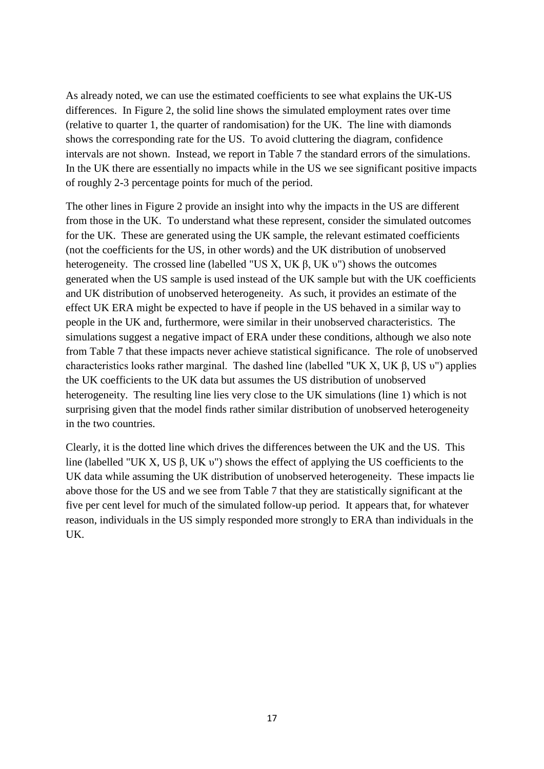As already noted, we can use the estimated coefficients to see what explains the UK-US differences. In Figure 2, the solid line shows the simulated employment rates over time (relative to quarter 1, the quarter of randomisation) for the UK. The line with diamonds shows the corresponding rate for the US. To avoid cluttering the diagram, confidence intervals are not shown. Instead, we report in Table 7 the standard errors of the simulations. In the UK there are essentially no impacts while in the US we see significant positive impacts of roughly 2-3 percentage points for much of the period.

The other lines in Figure 2 provide an insight into why the impacts in the US are different from those in the UK. To understand what these represent, consider the simulated outcomes for the UK. These are generated using the UK sample, the relevant estimated coefficients (not the coefficients for the US, in other words) and the UK distribution of unobserved heterogeneity. The crossed line (labelled "US X, UK β, UK υ") shows the outcomes generated when the US sample is used instead of the UK sample but with the UK coefficients and UK distribution of unobserved heterogeneity. As such, it provides an estimate of the effect UK ERA might be expected to have if people in the US behaved in a similar way to people in the UK and, furthermore, were similar in their unobserved characteristics. The simulations suggest a negative impact of ERA under these conditions, although we also note from Table 7 that these impacts never achieve statistical significance. The role of unobserved characteristics looks rather marginal. The dashed line (labelled "UK X, UK β, US υ") applies the UK coefficients to the UK data but assumes the US distribution of unobserved heterogeneity. The resulting line lies very close to the UK simulations (line 1) which is not surprising given that the model finds rather similar distribution of unobserved heterogeneity in the two countries.

Clearly, it is the dotted line which drives the differences between the UK and the US. This line (labelled "UK X, US β, UK υ") shows the effect of applying the US coefficients to the UK data while assuming the UK distribution of unobserved heterogeneity. These impacts lie above those for the US and we see from Table 7 that they are statistically significant at the five per cent level for much of the simulated follow-up period. It appears that, for whatever reason, individuals in the US simply responded more strongly to ERA than individuals in the UK.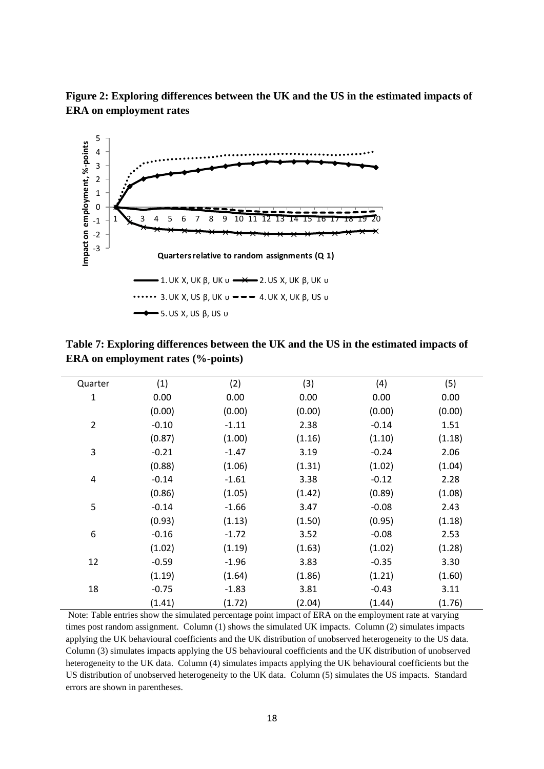



**Table 7: Exploring differences between the UK and the US in the estimated impacts of ERA on employment rates (%-points)**

| Quarter        | (1)     | (2)     | (3)    | (4)     | (5)    |
|----------------|---------|---------|--------|---------|--------|
| $\mathbf 1$    | 0.00    | 0.00    | 0.00   | 0.00    | 0.00   |
|                | (0.00)  | (0.00)  | (0.00) | (0.00)  | (0.00) |
| $\overline{2}$ | $-0.10$ | $-1.11$ | 2.38   | $-0.14$ | 1.51   |
|                | (0.87)  | (1.00)  | (1.16) | (1.10)  | (1.18) |
| 3              | $-0.21$ | $-1.47$ | 3.19   | $-0.24$ | 2.06   |
|                | (0.88)  | (1.06)  | (1.31) | (1.02)  | (1.04) |
| 4              | $-0.14$ | $-1.61$ | 3.38   | $-0.12$ | 2.28   |
|                | (0.86)  | (1.05)  | (1.42) | (0.89)  | (1.08) |
| 5              | $-0.14$ | $-1.66$ | 3.47   | $-0.08$ | 2.43   |
|                | (0.93)  | (1.13)  | (1.50) | (0.95)  | (1.18) |
| 6              | $-0.16$ | $-1.72$ | 3.52   | $-0.08$ | 2.53   |
|                | (1.02)  | (1.19)  | (1.63) | (1.02)  | (1.28) |
| 12             | $-0.59$ | $-1.96$ | 3.83   | $-0.35$ | 3.30   |
|                | (1.19)  | (1.64)  | (1.86) | (1.21)  | (1.60) |
| 18             | $-0.75$ | $-1.83$ | 3.81   | $-0.43$ | 3.11   |
|                | (1.41)  | (1.72)  | (2.04) | (1.44)  | (1.76) |

Note: Table entries show the simulated percentage point impact of ERA on the employment rate at varying times post random assignment. Column (1) shows the simulated UK impacts. Column (2) simulates impacts applying the UK behavioural coefficients and the UK distribution of unobserved heterogeneity to the US data. Column (3) simulates impacts applying the US behavioural coefficients and the UK distribution of unobserved heterogeneity to the UK data. Column (4) simulates impacts applying the UK behavioural coefficients but the US distribution of unobserved heterogeneity to the UK data. Column (5) simulates the US impacts. Standard errors are shown in parentheses.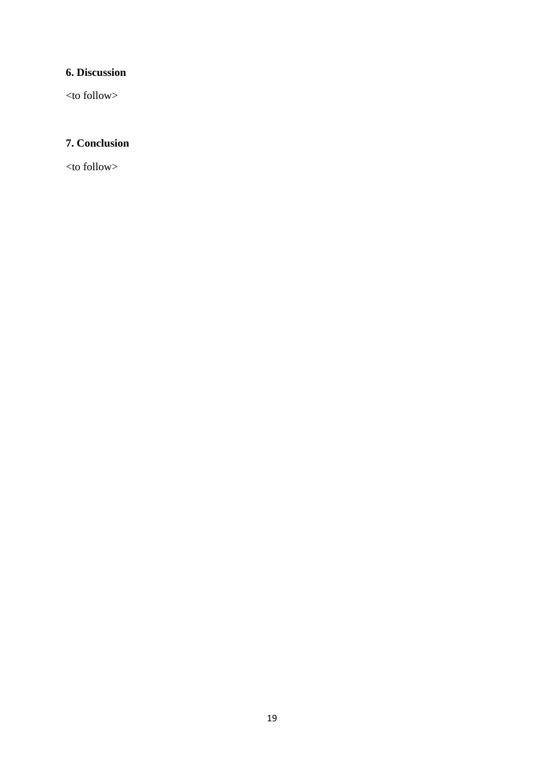# **6. Discussion**

<to follow>

# **7. Conclusion**

<to follow>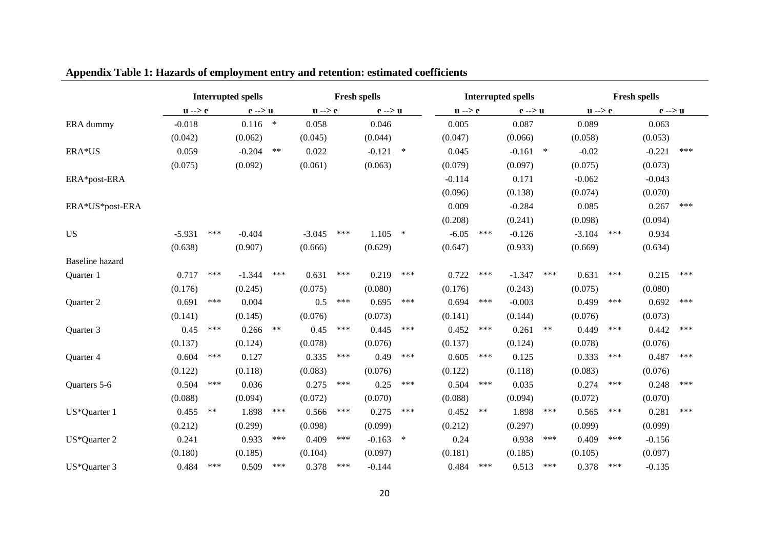|                        |                   |       | <b>Interrupted spells</b> |        |                   |     | <b>Fresh spells</b> |        | <b>Interrupted spells</b><br><b>Fresh spells</b> |       |                   |       |                   |     |                   |     |
|------------------------|-------------------|-------|---------------------------|--------|-------------------|-----|---------------------|--------|--------------------------------------------------|-------|-------------------|-------|-------------------|-----|-------------------|-----|
|                        | $u \rightarrow e$ |       | $e \rightarrow u$         |        | $u \rightarrow e$ |     | $e \rightarrow u$   |        | $u \rightarrow e$                                |       | $e \rightarrow u$ |       | $u \rightarrow e$ |     | $e \rightarrow u$ |     |
| ERA dummy              | $-0.018$          |       | 0.116                     | $\ast$ | 0.058             |     | 0.046               |        | 0.005                                            |       | 0.087             |       | 0.089             |     | 0.063             |     |
|                        | (0.042)           |       | (0.062)                   |        | (0.045)           |     | (0.044)             |        | (0.047)                                          |       | (0.066)           |       | (0.058)           |     | (0.053)           |     |
| ERA*US                 | 0.059             |       | $-0.204$                  | $***$  | 0.022             |     | $-0.121$            | $\ast$ | 0.045                                            |       | $-0.161$ *        |       | $-0.02$           |     | $-0.221$          | *** |
|                        | (0.075)           |       | (0.092)                   |        | (0.061)           |     | (0.063)             |        | (0.079)                                          |       | (0.097)           |       | (0.075)           |     | (0.073)           |     |
| ERA*post-ERA           |                   |       |                           |        |                   |     |                     |        | $-0.114$                                         |       | 0.171             |       | $-0.062$          |     | $-0.043$          |     |
|                        |                   |       |                           |        |                   |     |                     |        | (0.096)                                          |       | (0.138)           |       | (0.074)           |     | (0.070)           |     |
| ERA*US*post-ERA        |                   |       |                           |        |                   |     |                     |        | 0.009                                            |       | $-0.284$          |       | 0.085             |     | 0.267             | *** |
|                        |                   |       |                           |        |                   |     |                     |        | (0.208)                                          |       | (0.241)           |       | (0.098)           |     | (0.094)           |     |
| <b>US</b>              | $-5.931$          | ***   | $-0.404$                  |        | $-3.045$          | *** | 1.105               | $\ast$ | $-6.05$                                          | ***   | $-0.126$          |       | $-3.104$          | *** | 0.934             |     |
|                        | (0.638)           |       | (0.907)                   |        | (0.666)           |     | (0.629)             |        | (0.647)                                          |       | (0.933)           |       | (0.669)           |     | (0.634)           |     |
| <b>Baseline</b> hazard |                   |       |                           |        |                   |     |                     |        |                                                  |       |                   |       |                   |     |                   |     |
| Quarter 1              | 0.717             | ***   | $-1.344$                  | ***    | 0.631             | *** | 0.219               | ***    | 0.722                                            | ***   | $-1.347$          | ***   | 0.631             | *** | 0.215             | *** |
|                        | (0.176)           |       | (0.245)                   |        | (0.075)           |     | (0.080)             |        | (0.176)                                          |       | (0.243)           |       | (0.075)           |     | (0.080)           |     |
| Quarter 2              | 0.691             | ***   | 0.004                     |        | 0.5               | *** | 0.695               | ***    | 0.694                                            | ***   | $-0.003$          |       | 0.499             | *** | 0.692             | *** |
|                        | (0.141)           |       | (0.145)                   |        | (0.076)           |     | (0.073)             |        | (0.141)                                          |       | (0.144)           |       | (0.076)           |     | (0.073)           |     |
| Quarter 3              | 0.45              | ***   | 0.266                     | $***$  | 0.45              | *** | 0.445               | ***    | 0.452                                            | ***   | 0.261             | $***$ | 0.449             | *** | 0.442             | *** |
|                        | (0.137)           |       | (0.124)                   |        | (0.078)           |     | (0.076)             |        | (0.137)                                          |       | (0.124)           |       | (0.078)           |     | (0.076)           |     |
| Quarter 4              | 0.604             | ***   | 0.127                     |        | 0.335             | *** | 0.49                | ***    | 0.605                                            | ***   | 0.125             |       | 0.333             | *** | 0.487             | *** |
|                        | (0.122)           |       | (0.118)                   |        | (0.083)           |     | (0.076)             |        | (0.122)                                          |       | (0.118)           |       | (0.083)           |     | (0.076)           |     |
| Quarters 5-6           | 0.504             | ***   | 0.036                     |        | 0.275             | *** | 0.25                | ***    | 0.504                                            | ***   | 0.035             |       | 0.274             | *** | 0.248             | *** |
|                        | (0.088)           |       | (0.094)                   |        | (0.072)           |     | (0.070)             |        | (0.088)                                          |       | (0.094)           |       | (0.072)           |     | (0.070)           |     |
| US*Quarter 1           | 0.455             | $***$ | 1.898                     | ***    | 0.566             | *** | 0.275               | ***    | 0.452                                            | $***$ | 1.898             | ***   | 0.565             | *** | 0.281             | *** |
|                        | (0.212)           |       | (0.299)                   |        | (0.098)           |     | (0.099)             |        | (0.212)                                          |       | (0.297)           |       | (0.099)           |     | (0.099)           |     |
| US*Quarter 2           | 0.241             |       | 0.933                     | ***    | 0.409             | *** | $-0.163$            | $\ast$ | 0.24                                             |       | 0.938             | ***   | 0.409             | *** | $-0.156$          |     |
|                        | (0.180)           |       | (0.185)                   |        | (0.104)           |     | (0.097)             |        | (0.181)                                          |       | (0.185)           |       | (0.105)           |     | (0.097)           |     |
| US*Quarter 3           | 0.484             | ***   | 0.509                     | ***    | 0.378             | *** | $-0.144$            |        | 0.484                                            | ***   | 0.513             | ***   | 0.378             | *** | $-0.135$          |     |

# **Appendix Table 1: Hazards of employment entry and retention: estimated coefficients**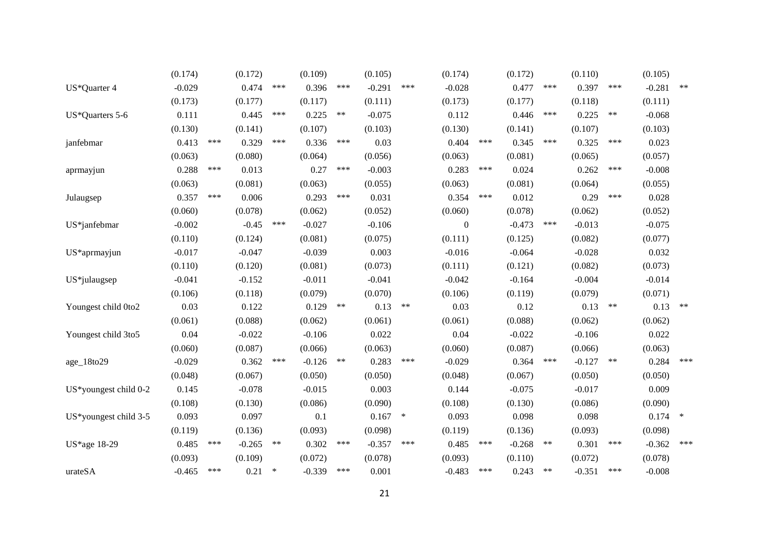|                          | (0.174)  |     | (0.172)  |        | (0.109)  |       | (0.105)  |        | (0.174)          |     | (0.172)  |       | (0.110)  |       | (0.105)  |        |
|--------------------------|----------|-----|----------|--------|----------|-------|----------|--------|------------------|-----|----------|-------|----------|-------|----------|--------|
| US*Quarter 4             | $-0.029$ |     | 0.474    | ***    | 0.396    | ***   | $-0.291$ | ***    | $-0.028$         |     | 0.477    | ***   | 0.397    | ***   | $-0.281$ | $***$  |
|                          | (0.173)  |     | (0.177)  |        | (0.117)  |       | (0.111)  |        | (0.173)          |     | (0.177)  |       | (0.118)  |       | (0.111)  |        |
| US*Quarters 5-6          | 0.111    |     | 0.445    | ***    | 0.225    | $***$ | $-0.075$ |        | 0.112            |     | 0.446    | ***   | 0.225    | $***$ | $-0.068$ |        |
|                          | (0.130)  |     | (0.141)  |        | (0.107)  |       | (0.103)  |        | (0.130)          |     | (0.141)  |       | (0.107)  |       | (0.103)  |        |
| janfebmar                | 0.413    | *** | 0.329    | ***    | 0.336    | ***   | 0.03     |        | 0.404            | *** | 0.345    | ***   | 0.325    | ***   | 0.023    |        |
|                          | (0.063)  |     | (0.080)  |        | (0.064)  |       | (0.056)  |        | (0.063)          |     | (0.081)  |       | (0.065)  |       | (0.057)  |        |
| aprmayjun                | 0.288    | *** | 0.013    |        | 0.27     | ***   | $-0.003$ |        | 0.283            | *** | 0.024    |       | 0.262    | ***   | $-0.008$ |        |
|                          | (0.063)  |     | (0.081)  |        | (0.063)  |       | (0.055)  |        | (0.063)          |     | (0.081)  |       | (0.064)  |       | (0.055)  |        |
| Julaugsep                | 0.357    | *** | 0.006    |        | 0.293    | ***   | 0.031    |        | 0.354            | *** | 0.012    |       | 0.29     | ***   | 0.028    |        |
|                          | (0.060)  |     | (0.078)  |        | (0.062)  |       | (0.052)  |        | (0.060)          |     | (0.078)  |       | (0.062)  |       | (0.052)  |        |
| US*janfebmar             | $-0.002$ |     | $-0.45$  | ***    | $-0.027$ |       | $-0.106$ |        | $\boldsymbol{0}$ |     | $-0.473$ | ***   | $-0.013$ |       | $-0.075$ |        |
|                          | (0.110)  |     | (0.124)  |        | (0.081)  |       | (0.075)  |        | (0.111)          |     | (0.125)  |       | (0.082)  |       | (0.077)  |        |
| US*aprmayjun             | $-0.017$ |     | $-0.047$ |        | $-0.039$ |       | 0.003    |        | $-0.016$         |     | $-0.064$ |       | $-0.028$ |       | 0.032    |        |
|                          | (0.110)  |     | (0.120)  |        | (0.081)  |       | (0.073)  |        | (0.111)          |     | (0.121)  |       | (0.082)  |       | (0.073)  |        |
| US*julaugsep             | $-0.041$ |     | $-0.152$ |        | $-0.011$ |       | $-0.041$ |        | $-0.042$         |     | $-0.164$ |       | $-0.004$ |       | $-0.014$ |        |
|                          | (0.106)  |     | (0.118)  |        | (0.079)  |       | (0.070)  |        | (0.106)          |     | (0.119)  |       | (0.079)  |       | (0.071)  |        |
| Youngest child 0to2      | 0.03     |     | 0.122    |        | 0.129    | $***$ | 0.13     | $***$  | 0.03             |     | 0.12     |       | 0.13     | $***$ | 0.13     | $***$  |
|                          | (0.061)  |     | (0.088)  |        | (0.062)  |       | (0.061)  |        | (0.061)          |     | (0.088)  |       | (0.062)  |       | (0.062)  |        |
| Youngest child 3to5      | 0.04     |     | $-0.022$ |        | $-0.106$ |       | 0.022    |        | 0.04             |     | $-0.022$ |       | $-0.106$ |       | 0.022    |        |
|                          | (0.060)  |     | (0.087)  |        | (0.066)  |       | (0.063)  |        | (0.060)          |     | (0.087)  |       | (0.066)  |       | (0.063)  |        |
| age_18to29               | $-0.029$ |     | 0.362    | ***    | $-0.126$ | $***$ | 0.283    | ***    | $-0.029$         |     | 0.364    | ***   | $-0.127$ | $***$ | 0.284    | ***    |
|                          | (0.048)  |     | (0.067)  |        | (0.050)  |       | (0.050)  |        | (0.048)          |     | (0.067)  |       | (0.050)  |       | (0.050)  |        |
| US*youngest child 0-2    | 0.145    |     | $-0.078$ |        | $-0.015$ |       | 0.003    |        | 0.144            |     | $-0.075$ |       | $-0.017$ |       | 0.009    |        |
|                          | (0.108)  |     | (0.130)  |        | (0.086)  |       | (0.090)  |        | (0.108)          |     | (0.130)  |       | (0.086)  |       | (0.090)  |        |
| $US*$ youngest child 3-5 | 0.093    |     | 0.097    |        | 0.1      |       | 0.167    | $\ast$ | 0.093            |     | 0.098    |       | 0.098    |       | 0.174    | $\ast$ |
|                          | (0.119)  |     | (0.136)  |        | (0.093)  |       | (0.098)  |        | (0.119)          |     | (0.136)  |       | (0.093)  |       | (0.098)  |        |
| US*age 18-29             | 0.485    | *** | $-0.265$ | $***$  | 0.302    | ***   | $-0.357$ | ***    | 0.485            | *** | $-0.268$ | $***$ | 0.301    | ***   | $-0.362$ | ***    |
|                          | (0.093)  |     | (0.109)  |        | (0.072)  |       | (0.078)  |        | (0.093)          |     | (0.110)  |       | (0.072)  |       | (0.078)  |        |
| urateSA                  | $-0.465$ | *** | 0.21     | $\ast$ | $-0.339$ | ***   | 0.001    |        | $-0.483$         | *** | 0.243    | $***$ | $-0.351$ | ***   | $-0.008$ |        |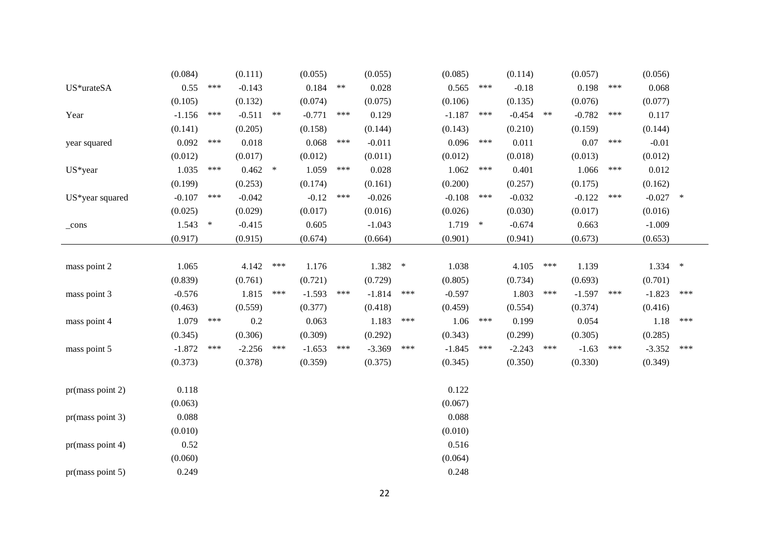|                                              | (0.084)   |     | (0.111)  |        | (0.055)  |       | (0.055)  |        | (0.085)  |        | (0.114)  |            | (0.057)  |     | (0.056)    |     |
|----------------------------------------------|-----------|-----|----------|--------|----------|-------|----------|--------|----------|--------|----------|------------|----------|-----|------------|-----|
| $\ensuremath{\mathrm{US}^*\mathrm{urateSA}}$ | 0.55      | *** | $-0.143$ |        | 0.184    | $***$ | 0.028    |        | 0.565    | ***    | $-0.18$  |            | 0.198    | *** | 0.068      |     |
|                                              | (0.105)   |     | (0.132)  |        | (0.074)  |       | (0.075)  |        | (0.106)  |        | (0.135)  |            | (0.076)  |     | (0.077)    |     |
| Year                                         | $-1.156$  | *** | $-0.511$ | $***$  | $-0.771$ | ***   | 0.129    |        | $-1.187$ | ***    | $-0.454$ | $\ast\ast$ | $-0.782$ | *** | 0.117      |     |
|                                              | (0.141)   |     | (0.205)  |        | (0.158)  |       | (0.144)  |        | (0.143)  |        | (0.210)  |            | (0.159)  |     | (0.144)    |     |
| year squared                                 | 0.092     | *** | 0.018    |        | 0.068    | ***   | $-0.011$ |        | 0.096    | ***    | 0.011    |            | 0.07     | *** | $-0.01$    |     |
|                                              | (0.012)   |     | (0.017)  |        | (0.012)  |       | (0.011)  |        | (0.012)  |        | (0.018)  |            | (0.013)  |     | (0.012)    |     |
| US*year                                      | 1.035     | *** | 0.462    | $\ast$ | 1.059    | ***   | 0.028    |        | 1.062    | ***    | 0.401    |            | 1.066    | *** | 0.012      |     |
|                                              | (0.199)   |     | (0.253)  |        | (0.174)  |       | (0.161)  |        | (0.200)  |        | (0.257)  |            | (0.175)  |     | (0.162)    |     |
| US*year squared                              | $-0.107$  | *** | $-0.042$ |        | $-0.12$  | ***   | $-0.026$ |        | $-0.108$ | ***    | $-0.032$ |            | $-0.122$ | *** | $-0.027$ * |     |
|                                              | (0.025)   |     | (0.029)  |        | (0.017)  |       | (0.016)  |        | (0.026)  |        | (0.030)  |            | (0.017)  |     | (0.016)    |     |
| $_{\rm cons}$                                | $1.543$ * |     | $-0.415$ |        | 0.605    |       | $-1.043$ |        | 1.719    | $\ast$ | $-0.674$ |            | 0.663    |     | $-1.009$   |     |
|                                              | (0.917)   |     | (0.915)  |        | (0.674)  |       | (0.664)  |        | (0.901)  |        | (0.941)  |            | (0.673)  |     | (0.653)    |     |
|                                              |           |     |          |        |          |       |          |        |          |        |          |            |          |     |            |     |
| mass point 2                                 | 1.065     |     | 4.142    | ***    | 1.176    |       | 1.382    | $\ast$ | 1.038    |        | 4.105    | ***        | 1.139    |     | $1.334$ *  |     |
|                                              | (0.839)   |     | (0.761)  |        | (0.721)  |       | (0.729)  |        | (0.805)  |        | (0.734)  |            | (0.693)  |     | (0.701)    |     |
| mass point 3                                 | $-0.576$  |     | 1.815    | ***    | $-1.593$ | ***   | $-1.814$ | ***    | $-0.597$ |        | 1.803    | ***        | $-1.597$ | *** | $-1.823$   | *** |
|                                              | (0.463)   |     | (0.559)  |        | (0.377)  |       | (0.418)  |        | (0.459)  |        | (0.554)  |            | (0.374)  |     | (0.416)    |     |
| mass point 4                                 | 1.079     | *** | 0.2      |        | 0.063    |       | 1.183    | ***    | 1.06     | $***$  | 0.199    |            | 0.054    |     | 1.18       | *** |
|                                              | (0.345)   |     | (0.306)  |        | (0.309)  |       | (0.292)  |        | (0.343)  |        | (0.299)  |            | (0.305)  |     | (0.285)    |     |
| mass point 5                                 | $-1.872$  | *** | $-2.256$ | ***    | $-1.653$ | ***   | $-3.369$ | ***    | $-1.845$ | ***    | $-2.243$ | ***        | $-1.63$  | *** | $-3.352$   | *** |
|                                              | (0.373)   |     | (0.378)  |        | (0.359)  |       | (0.375)  |        | (0.345)  |        | (0.350)  |            | (0.330)  |     | (0.349)    |     |
| pr(mass point 2)                             | 0.118     |     |          |        |          |       |          |        | 0.122    |        |          |            |          |     |            |     |
|                                              | (0.063)   |     |          |        |          |       |          |        | (0.067)  |        |          |            |          |     |            |     |
| pr(mass point 3)                             | 0.088     |     |          |        |          |       |          |        | 0.088    |        |          |            |          |     |            |     |
|                                              | (0.010)   |     |          |        |          |       |          |        | (0.010)  |        |          |            |          |     |            |     |
| pr(mass point 4)                             | 0.52      |     |          |        |          |       |          |        | 0.516    |        |          |            |          |     |            |     |
|                                              | (0.060)   |     |          |        |          |       |          |        | (0.064)  |        |          |            |          |     |            |     |
| pr(mass point 5)                             | 0.249     |     |          |        |          |       |          |        | 0.248    |        |          |            |          |     |            |     |
|                                              |           |     |          |        |          |       |          |        |          |        |          |            |          |     |            |     |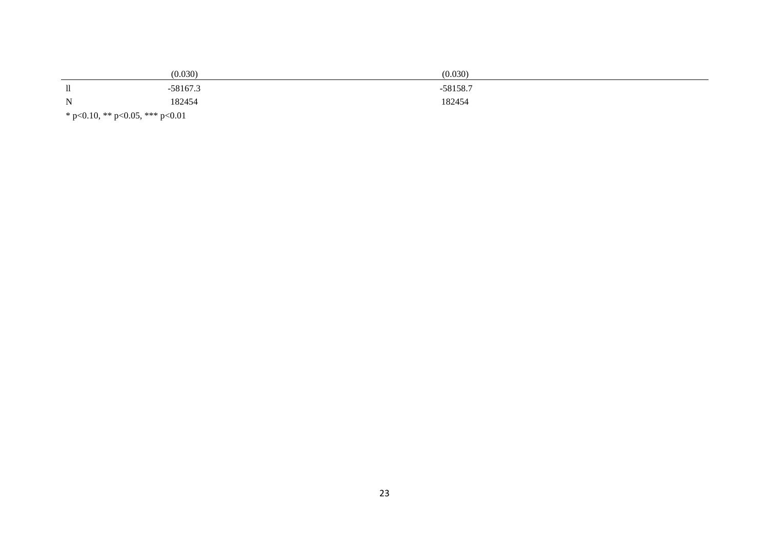|                                 | (0.030)    | (0.030)    |  |  |  |  |
|---------------------------------|------------|------------|--|--|--|--|
| 11                              | $-58167.3$ | $-58158.7$ |  |  |  |  |
| $\mathbf N$                     | 182454     | 182454     |  |  |  |  |
| * p<0.10, ** p<0.05, *** p<0.01 |            |            |  |  |  |  |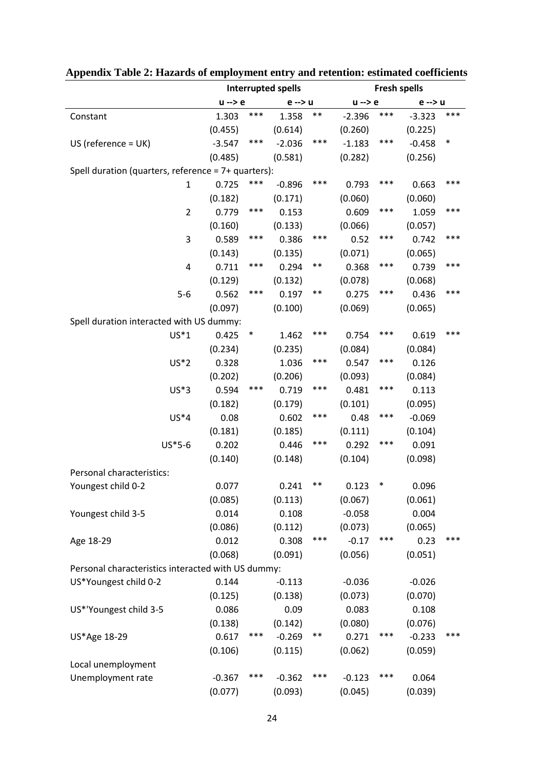|                                                     | <b>Interrupted spells</b> |       |          |       | <b>Fresh spells</b> |        |          |        |  |
|-----------------------------------------------------|---------------------------|-------|----------|-------|---------------------|--------|----------|--------|--|
|                                                     | $u \rightarrow e$         |       | e --> u  |       | $u \rightarrow e$   |        | e --> u  |        |  |
| Constant                                            | 1.303                     | ***   | 1.358    | $***$ | $-2.396$            | ***    | $-3.323$ | ***    |  |
|                                                     | (0.455)                   |       | (0.614)  |       | (0.260)             |        | (0.225)  |        |  |
| $US$ (reference = $UK$ )                            | $-3.547$                  | ***   | $-2.036$ | ***   | $-1.183$            | ***    | $-0.458$ | $\ast$ |  |
|                                                     | (0.485)                   |       | (0.581)  |       | (0.282)             |        | (0.256)  |        |  |
| Spell duration (quarters, reference = 7+ quarters): |                           |       |          |       |                     |        |          |        |  |
| $\mathbf{1}$                                        | 0.725                     | ***   | $-0.896$ | ***   | 0.793               | ***    | 0.663    | ***    |  |
|                                                     | (0.182)                   |       | (0.171)  |       | (0.060)             |        | (0.060)  |        |  |
| $\overline{2}$                                      | 0.779                     | ***   | 0.153    |       | 0.609               | ***    | 1.059    | ***    |  |
|                                                     | (0.160)                   |       | (0.133)  |       | (0.066)             |        | (0.057)  |        |  |
| 3                                                   | 0.589                     | ***   | 0.386    | ***   | 0.52                | ***    | 0.742    | ***    |  |
|                                                     | (0.143)                   |       | (0.135)  |       | (0.071)             |        | (0.065)  |        |  |
| 4                                                   | 0.711                     | ***   | 0.294    | $***$ | 0.368               | ***    | 0.739    | ***    |  |
|                                                     | (0.129)                   |       | (0.132)  |       | (0.078)             |        | (0.068)  |        |  |
| $5-6$                                               | 0.562                     | ***   | 0.197    | $***$ | 0.275               | ***    | 0.436    | ***    |  |
|                                                     | (0.097)                   |       | (0.100)  |       | (0.069)             |        | (0.065)  |        |  |
| Spell duration interacted with US dummy:            |                           |       |          |       |                     |        |          |        |  |
| $US*1$                                              | 0.425                     | ∗     | 1.462    | ***   | 0.754               | ***    | 0.619    | ***    |  |
|                                                     | (0.234)                   |       | (0.235)  |       | (0.084)             |        | (0.084)  |        |  |
| $US*2$                                              | 0.328                     |       | 1.036    | ***   | 0.547               | ***    | 0.126    |        |  |
|                                                     | (0.202)                   |       | (0.206)  |       | (0.093)             |        | (0.084)  |        |  |
| $US*3$                                              | 0.594                     | $***$ | 0.719    | ***   | 0.481               | ***    | 0.113    |        |  |
|                                                     | (0.182)                   |       | (0.179)  |       | (0.101)             |        | (0.095)  |        |  |
| $US*4$                                              | 0.08                      |       | 0.602    | ***   | 0.48                | ***    | $-0.069$ |        |  |
|                                                     | (0.181)                   |       | (0.185)  |       | (0.111)             |        | (0.104)  |        |  |
| $US*5-6$                                            | 0.202                     |       | 0.446    | ***   | 0.292               | ***    | 0.091    |        |  |
|                                                     | (0.140)                   |       | (0.148)  |       | (0.104)             |        | (0.098)  |        |  |
| Personal characteristics:                           |                           |       |          |       |                     |        |          |        |  |
| Youngest child 0-2                                  | 0.077                     |       | 0.241    | $***$ | 0.123               | $\ast$ | 0.096    |        |  |
|                                                     | (0.085)                   |       | (0.113)  |       | (0.067)             |        | (0.061)  |        |  |
| Youngest child 3-5                                  | 0.014                     |       | 0.108    |       | $-0.058$            |        | 0.004    |        |  |
|                                                     | (0.086)                   |       | (0.112)  |       | (0.073)             |        | (0.065)  |        |  |
| Age 18-29                                           | 0.012                     |       | 0.308    | ***   | $-0.17$             | ***    | 0.23     | ***    |  |
|                                                     | (0.068)                   |       | (0.091)  |       | (0.056)             |        | (0.051)  |        |  |
| Personal characteristics interacted with US dummy:  |                           |       |          |       |                     |        |          |        |  |
| US*Youngest child 0-2                               | 0.144                     |       | $-0.113$ |       | $-0.036$            |        | $-0.026$ |        |  |
|                                                     | (0.125)                   |       | (0.138)  |       | (0.073)             |        | (0.070)  |        |  |
| US*'Youngest child 3-5                              | 0.086                     |       | 0.09     |       | 0.083               |        | 0.108    |        |  |
|                                                     | (0.138)                   |       | (0.142)  |       | (0.080)             |        | (0.076)  |        |  |
| US*Age 18-29                                        | 0.617                     | $***$ | $-0.269$ | $***$ | 0.271               | ***    | $-0.233$ | ***    |  |
|                                                     | (0.106)                   |       | (0.115)  |       | (0.062)             |        | (0.059)  |        |  |
| Local unemployment                                  |                           |       |          |       |                     |        |          |        |  |
| Unemployment rate                                   | $-0.367$                  | ***   | $-0.362$ | ***   | $-0.123$            | ***    | 0.064    |        |  |
|                                                     | (0.077)                   |       | (0.093)  |       | (0.045)             |        | (0.039)  |        |  |

# **Appendix Table 2: Hazards of employment entry and retention: estimated coefficients**